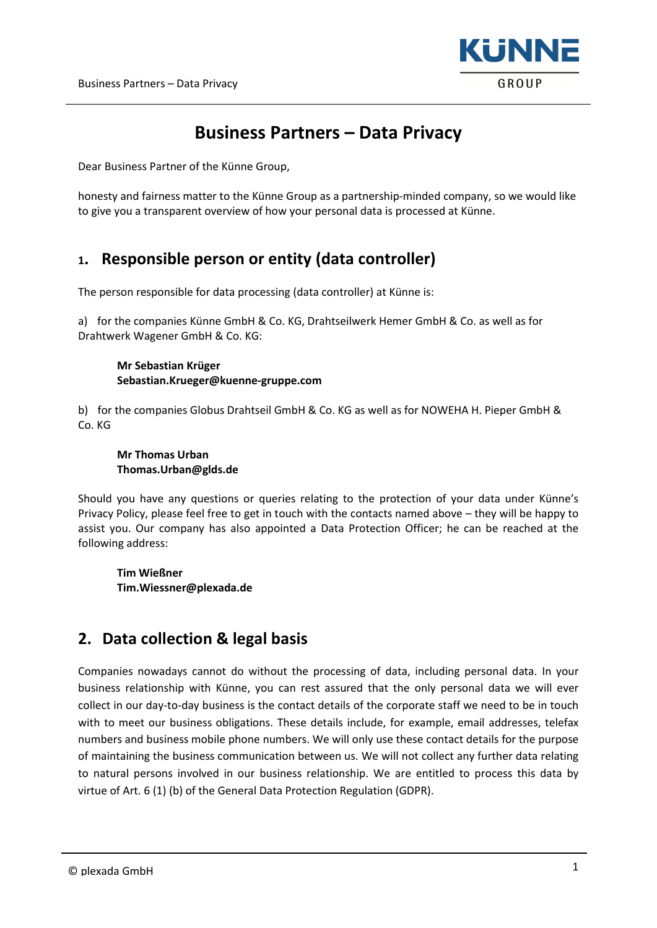

# Business Partners – Data Privacy

Dear Business Partner of the Künne Group,

honesty and fairness matter to the Künne Group as a partnership-minded company, so we would like to give you a transparent overview of how your personal data is processed at Künne.

# 1. Responsible person or entity (data controller)

The person responsible for data processing (data controller) at Künne is:

a) for the companies Künne GmbH & Co. KG, Drahtseilwerk Hemer GmbH & Co. as well as for Drahtwerk Wagener GmbH & Co. KG:

#### Mr Sebastian Krüger Sebastian.Krueger@kuenne-gruppe.com

b) for the companies Globus Drahtseil GmbH & Co. KG as well as for NOWEHA H. Pieper GmbH & Co. KG

#### Mr Thomas Urban Thomas.Urban@glds.de

Should you have any questions or queries relating to the protection of your data under Künne's Privacy Policy, please feel free to get in touch with the contacts named above – they will be happy to assist you. Our company has also appointed a Data Protection Officer; he can be reached at the following address:

Tim Wießner Tim.Wiessner@plexada.de

## 2. Data collection & legal basis

Companies nowadays cannot do without the processing of data, including personal data. In your business relationship with Künne, you can rest assured that the only personal data we will ever collect in our day-to-day business is the contact details of the corporate staff we need to be in touch with to meet our business obligations. These details include, for example, email addresses, telefax numbers and business mobile phone numbers. We will only use these contact details for the purpose of maintaining the business communication between us. We will not collect any further data relating to natural persons involved in our business relationship. We are entitled to process this data by virtue of Art. 6 (1) (b) of the General Data Protection Regulation (GDPR).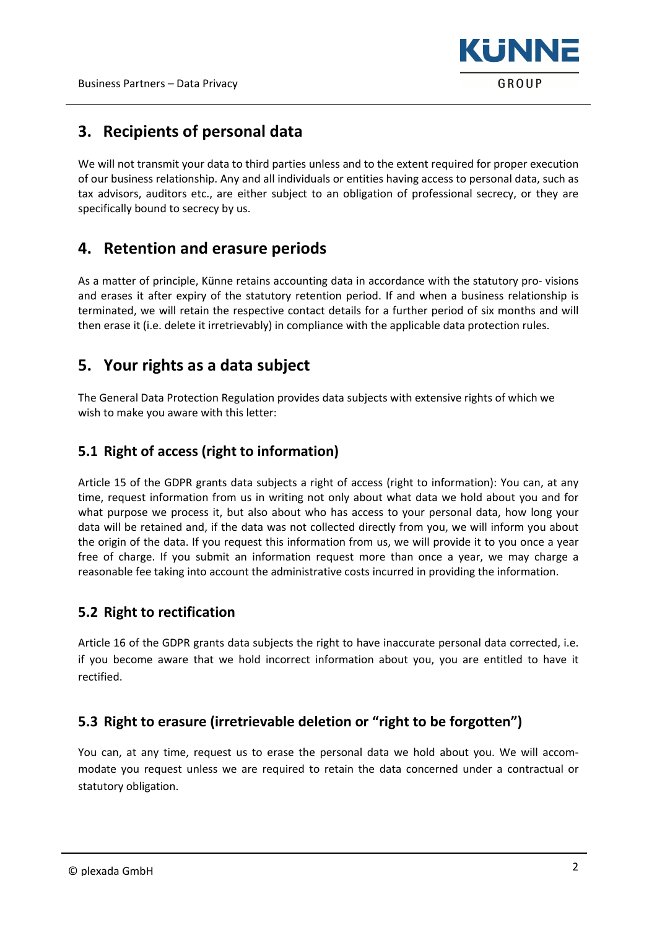

# 3. Recipients of personal data

We will not transmit your data to third parties unless and to the extent required for proper execution of our business relationship. Any and all individuals or entities having access to personal data, such as tax advisors, auditors etc., are either subject to an obligation of professional secrecy, or they are specifically bound to secrecy by us.

# 4. Retention and erasure periods

As a matter of principle, Künne retains accounting data in accordance with the statutory pro- visions and erases it after expiry of the statutory retention period. If and when a business relationship is terminated, we will retain the respective contact details for a further period of six months and will then erase it (i.e. delete it irretrievably) in compliance with the applicable data protection rules.

# 5. Your rights as a data subject

The General Data Protection Regulation provides data subjects with extensive rights of which we wish to make you aware with this letter:

### 5.1 Right of access (right to information)

Article 15 of the GDPR grants data subjects a right of access (right to information): You can, at any time, request information from us in writing not only about what data we hold about you and for what purpose we process it, but also about who has access to your personal data, how long your data will be retained and, if the data was not collected directly from you, we will inform you about the origin of the data. If you request this information from us, we will provide it to you once a year free of charge. If you submit an information request more than once a year, we may charge a reasonable fee taking into account the administrative costs incurred in providing the information.

#### 5.2 Right to rectification

Article 16 of the GDPR grants data subjects the right to have inaccurate personal data corrected, i.e. if you become aware that we hold incorrect information about you, you are entitled to have it rectified.

## 5.3 Right to erasure (irretrievable deletion or "right to be forgotten")

You can, at any time, request us to erase the personal data we hold about you. We will accommodate you request unless we are required to retain the data concerned under a contractual or statutory obligation.